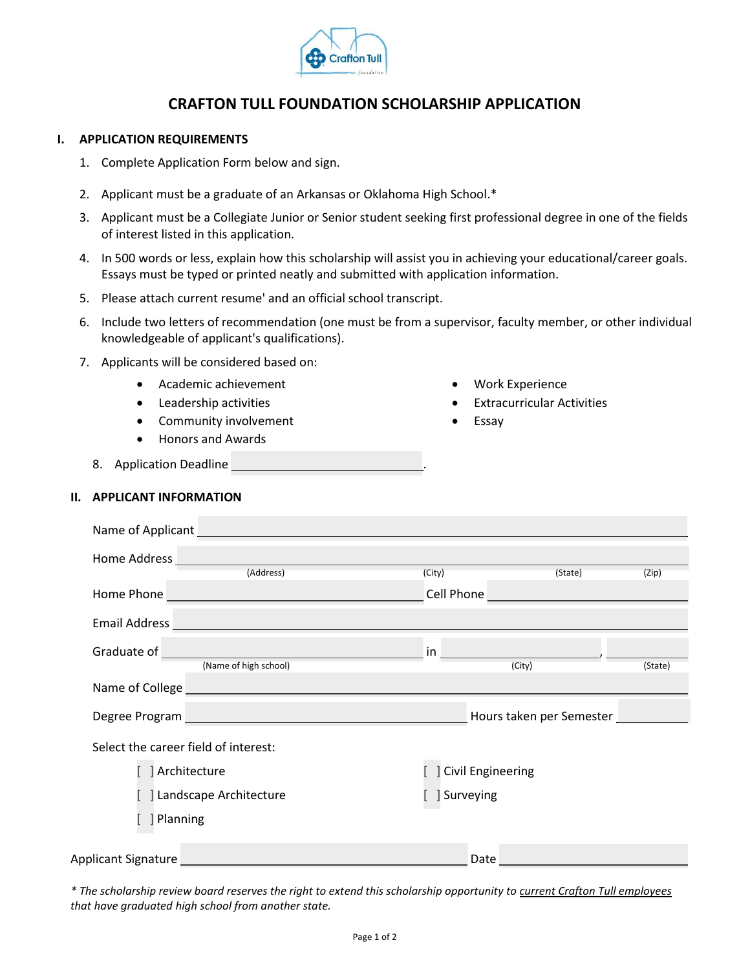

## **CRAFTON TULL FOUNDATION SCHOLARSHIP APPLICATION**

## **I. APPLICATION REQUIREMENTS**

- 1. Complete Application Form below and sign.
- 2. Applicant must be a graduate of an Arkansas or Oklahoma High School.\*
- 3. Applicant must be a Collegiate Junior or Senior student seeking first professional degree in one of the fields of interest listed in this application.
- 4. In 500 words or less, explain how this scholarship will assist you in achieving your educational/career goals. Essays must be typed or printed neatly and submitted with application information.
- 5. Please attach current resume' and an official school transcript.
- 6. Include two letters of recommendation (one must be from a supervisor, faculty member, or other individual knowledgeable of applicant's qualifications).
- 7. Applicants will be considered based on:
	- Academic achievement
	- Leadership activities
	- Community involvement
	- Honors and Awards
- Work Experience
- Extracurricular Activities
- Essay
- 8. Application Deadline

## **II. APPLICANT INFORMATION**

| Name of Applicant                                                                                                                            |                            |
|----------------------------------------------------------------------------------------------------------------------------------------------|----------------------------|
| Home Address                                                                                                                                 |                            |
| (Address)                                                                                                                                    | (City)<br>(State)<br>(Zip) |
| Home Phone<br><u> 1989 - Johann Barn, fransk politik (d. 1989)</u>                                                                           | Cell Phone                 |
| <b>Email Address</b><br><u> 1989 - Johann Barbara, martxa alemaniar amerikan basar da da a shekara a shekara tsa a shekara tsa a shekara</u> |                            |
| Graduate of<br><u> 1989 - Johann Barbara, martxa amerikan per</u>                                                                            | in                         |
| (Name of high school)                                                                                                                        | (City)<br>(State)          |
| Name of College<br><u> 1989 - Johann Barn, mars ann an t-Amhain Aonaich an t-Aonaich an t-Aonaich an t-Aonaich an t-Aonaich ann an t-</u>    |                            |
| Degree Program<br><u> 1989 - Johann Barn, mars an t-Amerikaansk kommunister (</u>                                                            | Hours taken per Semester   |
| Select the career field of interest:                                                                                                         |                            |
| Architecture                                                                                                                                 | <b>Civil Engineering</b>   |
| Landscape Architecture                                                                                                                       | Surveying                  |
| Planning                                                                                                                                     |                            |
| Applicant Signature                                                                                                                          | Date                       |

*\* The scholarship review board reserves the right to extend this scholarship opportunity to current Crafton Tull employees that have graduated high school from another state.*